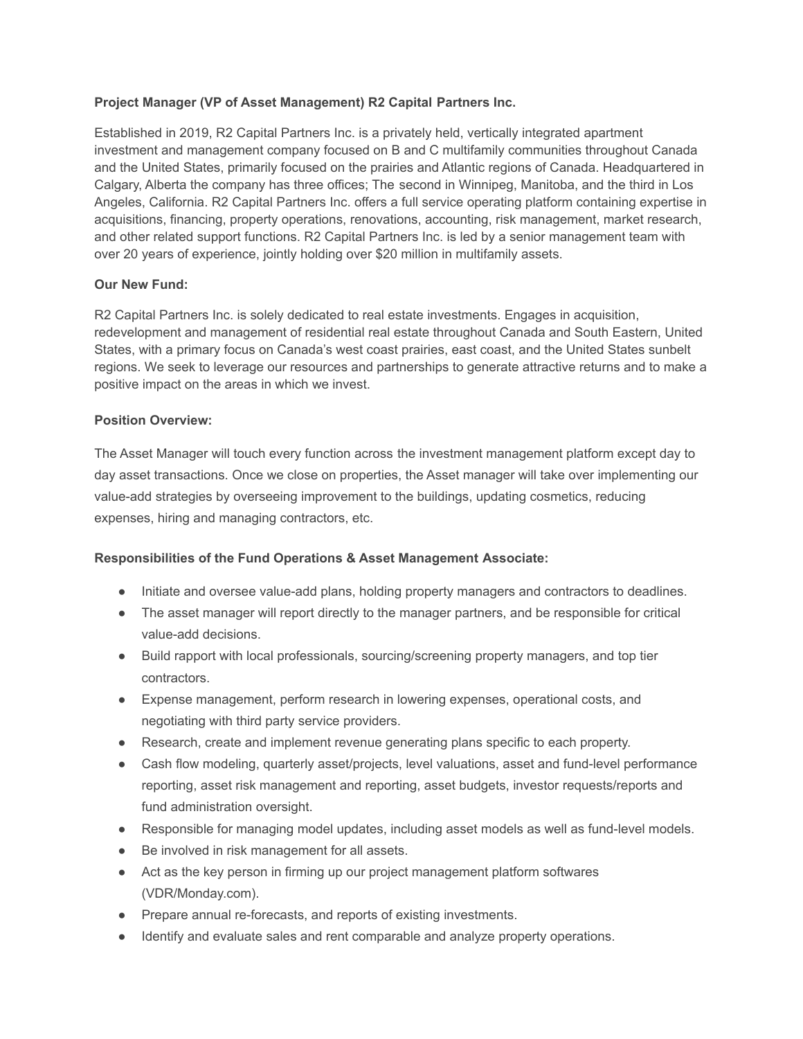## **Project Manager (VP of Asset Management) R2 Capital Partners Inc.**

Established in 2019, R2 Capital Partners Inc. is a privately held, vertically integrated apartment investment and management company focused on B and C multifamily communities throughout Canada and the United States, primarily focused on the prairies and Atlantic regions of Canada. Headquartered in Calgary, Alberta the company has three offices; The second in Winnipeg, Manitoba, and the third in Los Angeles, California. R2 Capital Partners Inc. offers a full service operating platform containing expertise in acquisitions, financing, property operations, renovations, accounting, risk management, market research, and other related support functions. R2 Capital Partners Inc. is led by a senior management team with over 20 years of experience, jointly holding over \$20 million in multifamily assets.

# **Our New Fund:**

R2 Capital Partners Inc. is solely dedicated to real estate investments. Engages in acquisition, redevelopment and management of residential real estate throughout Canada and South Eastern, United States, with a primary focus on Canada's west coast prairies, east coast, and the United States sunbelt regions. We seek to leverage our resources and partnerships to generate attractive returns and to make a positive impact on the areas in which we invest.

### **Position Overview:**

The Asset Manager will touch every function across the investment management platform except day to day asset transactions. Once we close on properties, the Asset manager will take over implementing our value-add strategies by overseeing improvement to the buildings, updating cosmetics, reducing expenses, hiring and managing contractors, etc.

### **Responsibilities of the Fund Operations & Asset Management Associate:**

- Initiate and oversee value-add plans, holding property managers and contractors to deadlines.
- The asset manager will report directly to the manager partners, and be responsible for critical value-add decisions.
- Build rapport with local professionals, sourcing/screening property managers, and top tier contractors.
- Expense management, perform research in lowering expenses, operational costs, and negotiating with third party service providers.
- Research, create and implement revenue generating plans specific to each property.
- Cash flow modeling, quarterly asset/projects, level valuations, asset and fund-level performance reporting, asset risk management and reporting, asset budgets, investor requests/reports and fund administration oversight.
- Responsible for managing model updates, including asset models as well as fund-level models.
- Be involved in risk management for all assets.
- Act as the key person in firming up our project management platform softwares (VDR/Monday.com).
- Prepare annual re-forecasts, and reports of existing investments.
- Identify and evaluate sales and rent comparable and analyze property operations.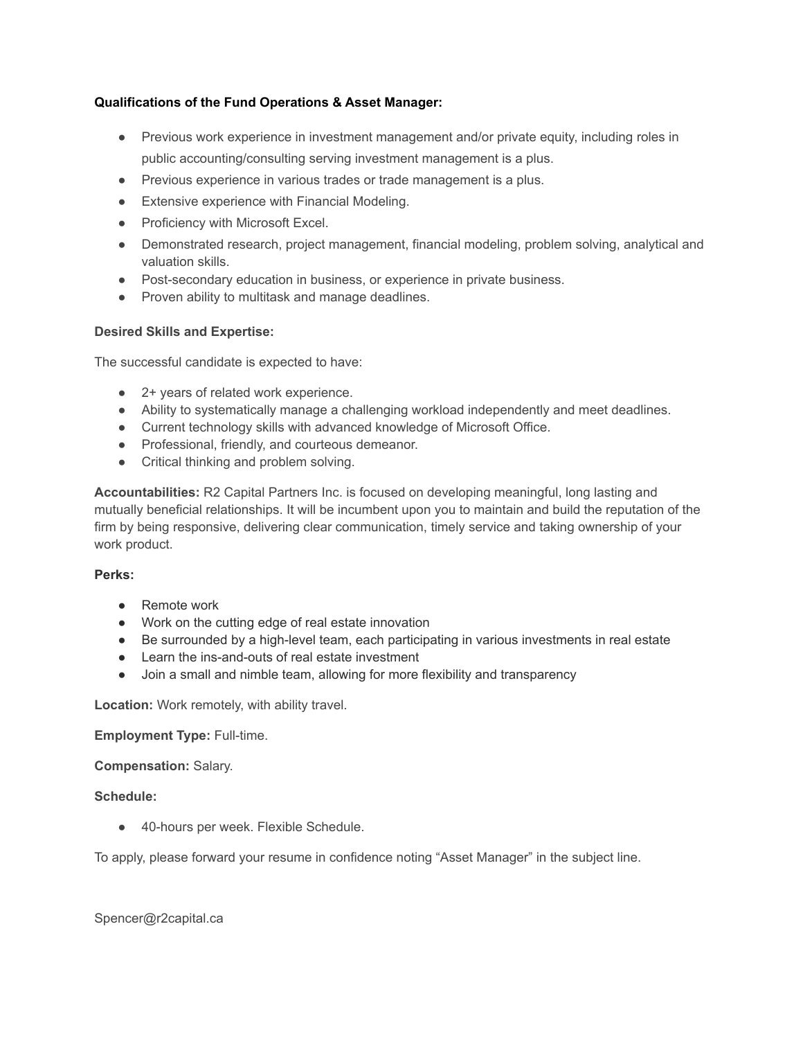# **Qualifications of the Fund Operations & Asset Manager:**

- Previous work experience in investment management and/or private equity, including roles in public accounting/consulting serving investment management is a plus.
- Previous experience in various trades or trade management is a plus.
- Extensive experience with Financial Modeling.
- Proficiency with Microsoft Excel.
- Demonstrated research, project management, financial modeling, problem solving, analytical and valuation skills.
- Post-secondary education in business, or experience in private business.
- Proven ability to multitask and manage deadlines.

### **Desired Skills and Expertise:**

The successful candidate is expected to have:

- 2+ years of related work experience.
- Ability to systematically manage a challenging workload independently and meet deadlines.
- Current technology skills with advanced knowledge of Microsoft Office.
- Professional, friendly, and courteous demeanor.
- Critical thinking and problem solving.

**Accountabilities:** R2 Capital Partners Inc. is focused on developing meaningful, long lasting and mutually beneficial relationships. It will be incumbent upon you to maintain and build the reputation of the firm by being responsive, delivering clear communication, timely service and taking ownership of your work product.

### **Perks:**

- Remote work
- Work on the cutting edge of real estate innovation
- Be surrounded by a high-level team, each participating in various investments in real estate
- Learn the ins-and-outs of real estate investment
- Join a small and nimble team, allowing for more flexibility and transparency

**Location:** Work remotely, with ability travel.

### **Employment Type:** Full-time.

### **Compensation:** Salary.

### **Schedule:**

● 40-hours per week. Flexible Schedule.

To apply, please forward your resume in confidence noting "Asset Manager" in the subject line.

Spencer@r2capital.ca